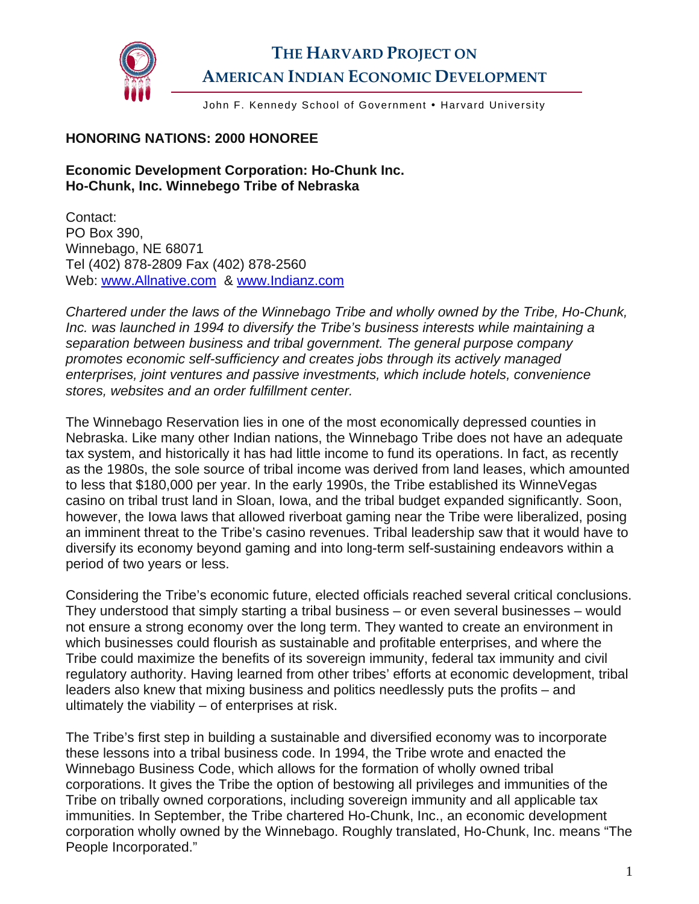

## **THE HARVARD PROJECT ON AMERICAN INDIAN ECONOMIC DEVELOPMENT**

John F. Kennedy School of Government . Harvard University

## **HONORING NATIONS: 2000 HONOREE**

## **Economic Development Corporation: Ho-Chunk Inc. Ho-Chunk, Inc. Winnebego Tribe of Nebraska**

Contact: PO Box 390, Winnebago, NE 68071 Tel (402) 878-2809 Fax (402) 878-2560 Web: [www.Allnative.com](http://www.allnative.com/) & [www.Indianz.com](http://www.indianz.com/) 

*Chartered under the laws of the Winnebago Tribe and wholly owned by the Tribe, Ho-Chunk, Inc. was launched in 1994 to diversify the Tribe's business interests while maintaining a separation between business and tribal government. The general purpose company promotes economic self-sufficiency and creates jobs through its actively managed enterprises, joint ventures and passive investments, which include hotels, convenience stores, websites and an order fulfillment center.* 

The Winnebago Reservation lies in one of the most economically depressed counties in Nebraska. Like many other Indian nations, the Winnebago Tribe does not have an adequate tax system, and historically it has had little income to fund its operations. In fact, as recently as the 1980s, the sole source of tribal income was derived from land leases, which amounted to less that \$180,000 per year. In the early 1990s, the Tribe established its WinneVegas casino on tribal trust land in Sloan, Iowa, and the tribal budget expanded significantly. Soon, however, the Iowa laws that allowed riverboat gaming near the Tribe were liberalized, posing an imminent threat to the Tribe's casino revenues. Tribal leadership saw that it would have to diversify its economy beyond gaming and into long-term self-sustaining endeavors within a period of two years or less.

Considering the Tribe's economic future, elected officials reached several critical conclusions. They understood that simply starting a tribal business – or even several businesses – would not ensure a strong economy over the long term. They wanted to create an environment in which businesses could flourish as sustainable and profitable enterprises, and where the Tribe could maximize the benefits of its sovereign immunity, federal tax immunity and civil regulatory authority. Having learned from other tribes' efforts at economic development, tribal leaders also knew that mixing business and politics needlessly puts the profits – and ultimately the viability – of enterprises at risk.

The Tribe's first step in building a sustainable and diversified economy was to incorporate these lessons into a tribal business code. In 1994, the Tribe wrote and enacted the Winnebago Business Code, which allows for the formation of wholly owned tribal corporations. It gives the Tribe the option of bestowing all privileges and immunities of the Tribe on tribally owned corporations, including sovereign immunity and all applicable tax immunities. In September, the Tribe chartered Ho-Chunk, Inc., an economic development corporation wholly owned by the Winnebago. Roughly translated, Ho-Chunk, Inc. means "The People Incorporated."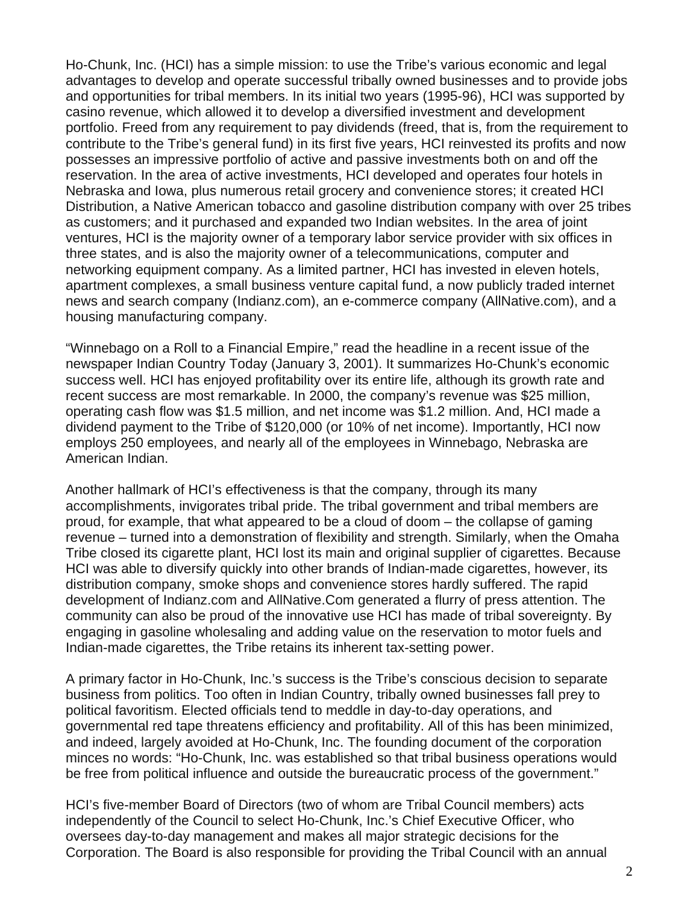Ho-Chunk, Inc. (HCI) has a simple mission: to use the Tribe's various economic and legal advantages to develop and operate successful tribally owned businesses and to provide jobs and opportunities for tribal members. In its initial two years (1995-96), HCI was supported by casino revenue, which allowed it to develop a diversified investment and development portfolio. Freed from any requirement to pay dividends (freed, that is, from the requirement to contribute to the Tribe's general fund) in its first five years, HCI reinvested its profits and now possesses an impressive portfolio of active and passive investments both on and off the reservation. In the area of active investments, HCI developed and operates four hotels in Nebraska and Iowa, plus numerous retail grocery and convenience stores; it created HCI Distribution, a Native American tobacco and gasoline distribution company with over 25 tribes as customers; and it purchased and expanded two Indian websites. In the area of joint ventures, HCI is the majority owner of a temporary labor service provider with six offices in three states, and is also the majority owner of a telecommunications, computer and networking equipment company. As a limited partner, HCI has invested in eleven hotels, apartment complexes, a small business venture capital fund, a now publicly traded internet news and search company (Indianz.com), an e-commerce company (AllNative.com), and a housing manufacturing company.

"Winnebago on a Roll to a Financial Empire," read the headline in a recent issue of the newspaper Indian Country Today (January 3, 2001). It summarizes Ho-Chunk's economic success well. HCI has enjoyed profitability over its entire life, although its growth rate and recent success are most remarkable. In 2000, the company's revenue was \$25 million, operating cash flow was \$1.5 million, and net income was \$1.2 million. And, HCI made a dividend payment to the Tribe of \$120,000 (or 10% of net income). Importantly, HCI now employs 250 employees, and nearly all of the employees in Winnebago, Nebraska are American Indian.

Another hallmark of HCI's effectiveness is that the company, through its many accomplishments, invigorates tribal pride. The tribal government and tribal members are proud, for example, that what appeared to be a cloud of doom – the collapse of gaming revenue – turned into a demonstration of flexibility and strength. Similarly, when the Omaha Tribe closed its cigarette plant, HCI lost its main and original supplier of cigarettes. Because HCI was able to diversify quickly into other brands of Indian-made cigarettes, however, its distribution company, smoke shops and convenience stores hardly suffered. The rapid development of Indianz.com and AllNative.Com generated a flurry of press attention. The community can also be proud of the innovative use HCI has made of tribal sovereignty. By engaging in gasoline wholesaling and adding value on the reservation to motor fuels and Indian-made cigarettes, the Tribe retains its inherent tax-setting power.

A primary factor in Ho-Chunk, Inc.'s success is the Tribe's conscious decision to separate business from politics. Too often in Indian Country, tribally owned businesses fall prey to political favoritism. Elected officials tend to meddle in day-to-day operations, and governmental red tape threatens efficiency and profitability. All of this has been minimized, and indeed, largely avoided at Ho-Chunk, Inc. The founding document of the corporation minces no words: "Ho-Chunk, Inc. was established so that tribal business operations would be free from political influence and outside the bureaucratic process of the government."

HCI's five-member Board of Directors (two of whom are Tribal Council members) acts independently of the Council to select Ho-Chunk, Inc.'s Chief Executive Officer, who oversees day-to-day management and makes all major strategic decisions for the Corporation. The Board is also responsible for providing the Tribal Council with an annual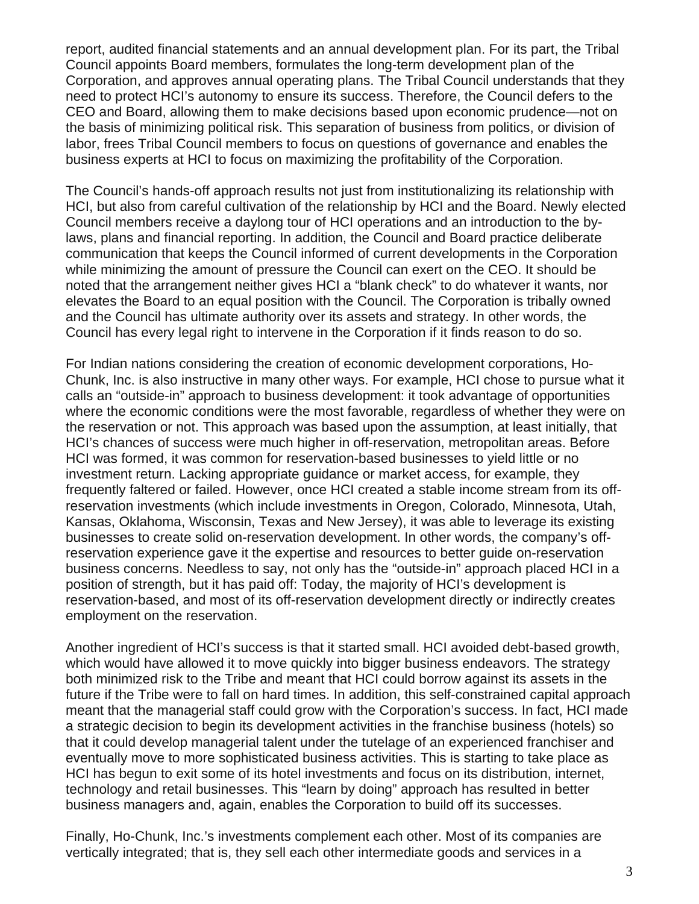report, audited financial statements and an annual development plan. For its part, the Tribal Council appoints Board members, formulates the long-term development plan of the Corporation, and approves annual operating plans. The Tribal Council understands that they need to protect HCI's autonomy to ensure its success. Therefore, the Council defers to the CEO and Board, allowing them to make decisions based upon economic prudence—not on the basis of minimizing political risk. This separation of business from politics, or division of labor, frees Tribal Council members to focus on questions of governance and enables the business experts at HCI to focus on maximizing the profitability of the Corporation.

The Council's hands-off approach results not just from institutionalizing its relationship with HCI, but also from careful cultivation of the relationship by HCI and the Board. Newly elected Council members receive a daylong tour of HCI operations and an introduction to the bylaws, plans and financial reporting. In addition, the Council and Board practice deliberate communication that keeps the Council informed of current developments in the Corporation while minimizing the amount of pressure the Council can exert on the CEO. It should be noted that the arrangement neither gives HCI a "blank check" to do whatever it wants, nor elevates the Board to an equal position with the Council. The Corporation is tribally owned and the Council has ultimate authority over its assets and strategy. In other words, the Council has every legal right to intervene in the Corporation if it finds reason to do so.

For Indian nations considering the creation of economic development corporations, Ho-Chunk, Inc. is also instructive in many other ways. For example, HCI chose to pursue what it calls an "outside-in" approach to business development: it took advantage of opportunities where the economic conditions were the most favorable, regardless of whether they were on the reservation or not. This approach was based upon the assumption, at least initially, that HCI's chances of success were much higher in off-reservation, metropolitan areas. Before HCI was formed, it was common for reservation-based businesses to yield little or no investment return. Lacking appropriate guidance or market access, for example, they frequently faltered or failed. However, once HCI created a stable income stream from its offreservation investments (which include investments in Oregon, Colorado, Minnesota, Utah, Kansas, Oklahoma, Wisconsin, Texas and New Jersey), it was able to leverage its existing businesses to create solid on-reservation development. In other words, the company's offreservation experience gave it the expertise and resources to better guide on-reservation business concerns. Needless to say, not only has the "outside-in" approach placed HCI in a position of strength, but it has paid off: Today, the majority of HCI's development is reservation-based, and most of its off-reservation development directly or indirectly creates employment on the reservation.

Another ingredient of HCI's success is that it started small. HCI avoided debt-based growth, which would have allowed it to move quickly into bigger business endeavors. The strategy both minimized risk to the Tribe and meant that HCI could borrow against its assets in the future if the Tribe were to fall on hard times. In addition, this self-constrained capital approach meant that the managerial staff could grow with the Corporation's success. In fact, HCI made a strategic decision to begin its development activities in the franchise business (hotels) so that it could develop managerial talent under the tutelage of an experienced franchiser and eventually move to more sophisticated business activities. This is starting to take place as HCI has begun to exit some of its hotel investments and focus on its distribution, internet, technology and retail businesses. This "learn by doing" approach has resulted in better business managers and, again, enables the Corporation to build off its successes.

Finally, Ho-Chunk, Inc.'s investments complement each other. Most of its companies are vertically integrated; that is, they sell each other intermediate goods and services in a